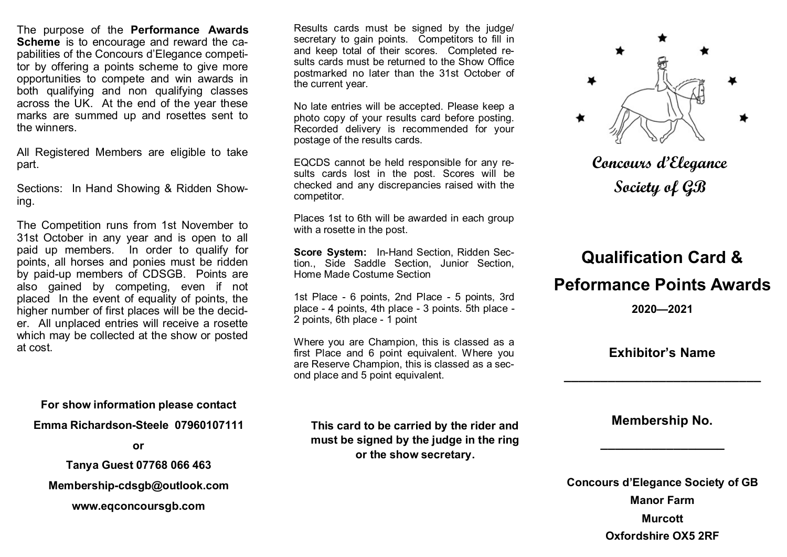The purpose of the **Performance Awards Scheme** is to encourage and reward the capabilities of the Concours d'Elegance competitor by offering a points scheme to give more opportunities to compete and win awards in both qualifying and non qualifying classes across the UK. At the end of the year these marks are summed up and rosettes sent to the winners.

All Registered Members are eligible to take part.

Sections: In Hand Showing & Ridden Showing.

The Competition runs from 1st November to 31st October in any year and is open to all paid up members. In order to qualify for points, all horses and ponies must be ridden by paid-up members of CDSGB. Points are also gained by competing, even if not placed In the event of equality of points, the higher number of first places will be the decider. All unplaced entries will receive a rosette which may be collected at the show or posted at cost.

**For show information please contact**

**Emma Richardson-Steele 07960107111**

**or** 

**Tanya Guest 07768 066 463**

**Membership-cdsgb@outlook.com**

**www.eqconcoursgb.com**

Results cards must be signed by the judge/ secretary to gain points. Competitors to fill in and keep total of their scores. Completed results cards must be returned to the Show Office postmarked no later than the 31st October of the current year.

No late entries will be accepted. Please keep a photo copy of your results card before posting. Recorded delivery is recommended for your postage of the results cards.

EQCDS cannot be held responsible for any results cards lost in the post. Scores will be checked and any discrepancies raised with the competitor.

Places 1st to 6th will be awarded in each group with a rosette in the post.

**Score System:** In-Hand Section, Ridden Section., Side Saddle Section, Junior Section, Home Made Costume Section

1st Place - 6 points, 2nd Place - 5 points, 3rd place - 4 points, 4th place - 3 points. 5th place - 2 points, 6th place - 1 point

Where you are Champion, this is classed as a first Place and 6 point equivalent. Where you are Reserve Champion, this is classed as a second place and 5 point equivalent.

**This card to be carried by the rider and must be signed by the judge in the ring or the show secretary.** 



**Concours d'Elegance Society of GB**

## **Qualification Card &**

## **Peformance Points Awards**

**2020—2021**

**Exhibitor's Name**

**\_\_\_\_\_\_\_\_\_\_\_\_\_\_\_\_\_\_\_\_\_\_\_\_\_\_\_**

**Membership No.**

**\_\_\_\_\_\_\_\_\_\_\_\_\_\_\_\_\_**

**Concours d'Elegance Society of GB Manor Farm Murcott Oxfordshire OX5 2RF**